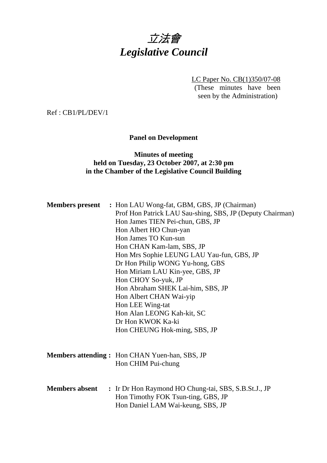# 立法會 *Legislative Council*

LC Paper No. CB(1)350/07-08 (These minutes have been seen by the Administration)

Ref : CB1/PL/DEV/1

#### **Panel on Development**

#### **Minutes of meeting held on Tuesday, 23 October 2007, at 2:30 pm in the Chamber of the Legislative Council Building**

|                       | <b>Members present</b> : Hon LAU Wong-fat, GBM, GBS, JP (Chairman)<br>Prof Hon Patrick LAU Sau-shing, SBS, JP (Deputy Chairman)<br>Hon James TIEN Pei-chun, GBS, JP<br>Hon Albert HO Chun-yan<br>Hon James TO Kun-sun<br>Hon CHAN Kam-lam, SBS, JP<br>Hon Mrs Sophie LEUNG LAU Yau-fun, GBS, JP<br>Dr Hon Philip WONG Yu-hong, GBS<br>Hon Miriam LAU Kin-yee, GBS, JP<br>Hon CHOY So-yuk, JP<br>Hon Abraham SHEK Lai-him, SBS, JP<br>Hon Albert CHAN Wai-yip<br>Hon LEE Wing-tat<br>Hon Alan LEONG Kah-kit, SC<br>Dr Hon KWOK Ka-ki<br>Hon CHEUNG Hok-ming, SBS, JP |
|-----------------------|---------------------------------------------------------------------------------------------------------------------------------------------------------------------------------------------------------------------------------------------------------------------------------------------------------------------------------------------------------------------------------------------------------------------------------------------------------------------------------------------------------------------------------------------------------------------|
|                       | <b>Members attending:</b> Hon CHAN Yuen-han, SBS, JP<br>Hon CHIM Pui-chung                                                                                                                                                                                                                                                                                                                                                                                                                                                                                          |
| <b>Members absent</b> | : Ir Dr Hon Raymond HO Chung-tai, SBS, S.B.St.J., JP<br>Hon Timothy FOK Tsun-ting, GBS, JP<br>Hon Daniel LAM Wai-keung, SBS, JP                                                                                                                                                                                                                                                                                                                                                                                                                                     |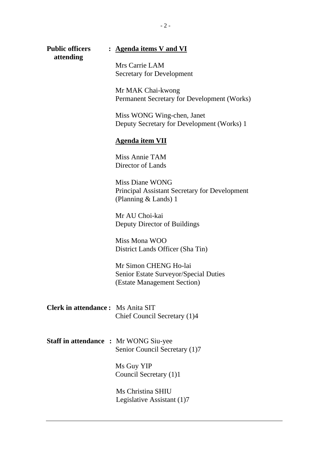| <b>Public officers</b>                       | : Agenda items V and VI                                                                              |  |
|----------------------------------------------|------------------------------------------------------------------------------------------------------|--|
| attending                                    | Mrs Carrie LAM<br><b>Secretary for Development</b>                                                   |  |
|                                              | Mr MAK Chai-kwong<br>Permanent Secretary for Development (Works)                                     |  |
|                                              | Miss WONG Wing-chen, Janet<br>Deputy Secretary for Development (Works) 1                             |  |
|                                              | <b>Agenda item VII</b>                                                                               |  |
|                                              | Miss Annie TAM<br>Director of Lands                                                                  |  |
|                                              | Miss Diane WONG<br>Principal Assistant Secretary for Development<br>(Planning $&$ Lands) 1           |  |
|                                              | Mr AU Choi-kai<br>Deputy Director of Buildings                                                       |  |
|                                              | Miss Mona WOO<br>District Lands Officer (Sha Tin)                                                    |  |
|                                              | Mr Simon CHENG Ho-lai<br><b>Senior Estate Surveyor/Special Duties</b><br>(Estate Management Section) |  |
| <b>Clerk in attendance:</b> Ms Anita SIT     | Chief Council Secretary (1)4                                                                         |  |
| <b>Staff in attendance : Mr WONG Siu-yee</b> | Senior Council Secretary (1)7                                                                        |  |
|                                              | Ms Guy YIP<br>Council Secretary (1)1                                                                 |  |
|                                              | Ms Christina SHIU<br>Legislative Assistant (1)7                                                      |  |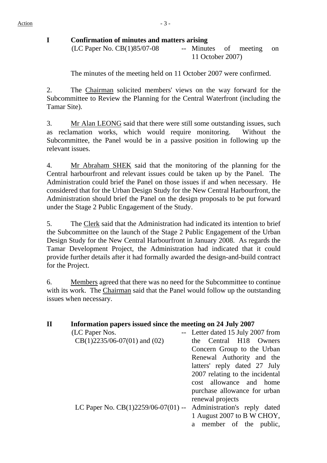# **I Confirmation of minutes and matters arising**

| (LC Paper No. CB(1)85/07-08 | -- Minutes of meeting on |  |
|-----------------------------|--------------------------|--|
|                             | 11 October 2007)         |  |

The minutes of the meeting held on 11 October 2007 were confirmed.

2. The Chairman solicited members' views on the way forward for the Subcommittee to Review the Planning for the Central Waterfront (including the Tamar Site).

3. Mr Alan LEONG said that there were still some outstanding issues, such as reclamation works, which would require monitoring. Without the Subcommittee, the Panel would be in a passive position in following up the relevant issues.

4. Mr Abraham SHEK said that the monitoring of the planning for the Central harbourfront and relevant issues could be taken up by the Panel. The Administration could brief the Panel on those issues if and when necessary. He considered that for the Urban Design Study for the New Central Harbourfront, the Administration should brief the Panel on the design proposals to be put forward under the Stage 2 Public Engagement of the Study.

5. The Clerk said that the Administration had indicated its intention to brief the Subcommittee on the launch of the Stage 2 Public Engagement of the Urban Design Study for the New Central Harbourfront in January 2008. As regards the Tamar Development Project, the Administration had indicated that it could provide further details after it had formally awarded the design-and-build contract for the Project.

6. Members agreed that there was no need for the Subcommittee to continue with its work. The Chairman said that the Panel would follow up the outstanding issues when necessary.

# **II Information papers issued since the meeting on 24 July 2007**

| -- Letter dated 15 July 2007 from                                     |
|-----------------------------------------------------------------------|
| the Central H18 Owners                                                |
| Concern Group to the Urban                                            |
| Renewal Authority and the                                             |
| latters' reply dated 27 July                                          |
| 2007 relating to the incidental                                       |
| cost allowance and home                                               |
| purchase allowance for urban                                          |
| renewal projects                                                      |
| LC Paper No. $CB(1)2259/06-07(01)$ --<br>Administration's reply dated |
| 1 August 2007 to B W CHOY,                                            |
| a member of the public,                                               |
|                                                                       |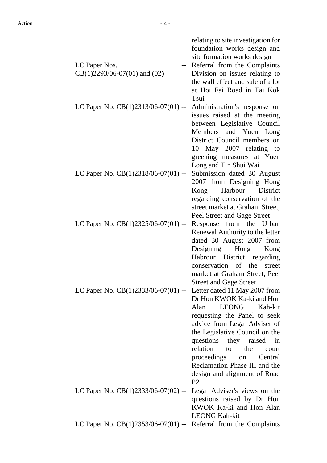|                                                                    | relating to site investigation for<br>foundation works design and |
|--------------------------------------------------------------------|-------------------------------------------------------------------|
|                                                                    | site formation works design                                       |
| LC Paper Nos.<br>$CB(1)2293/06-07(01)$ and (02)                    | Referral from the Complaints<br>Division on issues relating to    |
|                                                                    | the wall effect and sale of a lot                                 |
|                                                                    | at Hoi Fai Road in Tai Kok                                        |
|                                                                    | Tsui                                                              |
| LC Paper No. CB(1)2313/06-07(01) --                                | Administration's response on                                      |
|                                                                    | issues raised at the meeting                                      |
|                                                                    | between Legislative Council                                       |
|                                                                    | Members and Yuen Long                                             |
|                                                                    | District Council members on                                       |
|                                                                    | May 2007 relating<br>10<br>to                                     |
|                                                                    | greening measures at Yuen                                         |
| LC Paper No. $CB(1)2318/06-07(01)$ --                              | Long and Tin Shui Wai<br>Submission dated 30 August               |
|                                                                    | 2007 from Designing Hong                                          |
|                                                                    | Harbour District<br>Kong                                          |
|                                                                    | regarding conservation of the                                     |
|                                                                    | street market at Graham Street,                                   |
|                                                                    | Peel Street and Gage Street                                       |
| LC Paper No. CB(1)2325/06-07(01) --                                | Response from the Urban                                           |
|                                                                    | Renewal Authority to the letter                                   |
|                                                                    | dated 30 August 2007 from                                         |
|                                                                    | Designing Hong<br>Kong                                            |
|                                                                    | Habrour District regarding                                        |
|                                                                    | conservation of the street                                        |
|                                                                    | market at Graham Street, Peel<br><b>Street and Gage Street</b>    |
| LC Paper No. CB(1)2333/06-07(01) --                                | Letter dated 11 May 2007 from                                     |
|                                                                    | Dr Hon KWOK Ka-ki and Hon                                         |
|                                                                    | <b>LEONG</b><br>Alan<br>Kah-kit                                   |
|                                                                    | requesting the Panel to seek                                      |
|                                                                    | advice from Legal Adviser of                                      |
|                                                                    | the Legislative Council on the                                    |
|                                                                    | questions they raised<br>$\sin$                                   |
|                                                                    | relation<br>the<br>to<br>court                                    |
|                                                                    | proceedings on<br>Central                                         |
|                                                                    | Reclamation Phase III and the                                     |
|                                                                    | design and alignment of Road<br>P <sub>2</sub>                    |
| LC Paper No. $CB(1)2333/06-07(02)$ --                              | Legal Adviser's views on the                                      |
|                                                                    | questions raised by Dr Hon                                        |
|                                                                    | KWOK Ka-ki and Hon Alan                                           |
|                                                                    | <b>LEONG Kah-kit</b>                                              |
| LC Paper No. $CB(1)2353/06-07(01)$ -- Referral from the Complaints |                                                                   |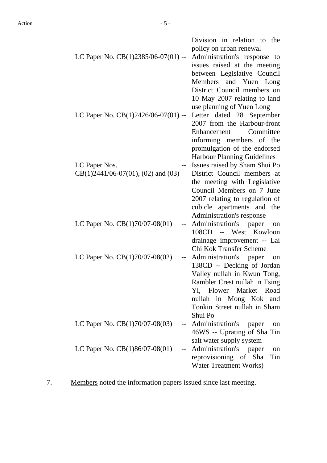| LC Paper No. CB(1)2385/06-07(01) --    | Division in relation to the<br>policy on urban renewal<br>Administration's response to |
|----------------------------------------|----------------------------------------------------------------------------------------|
|                                        | issues raised at the meeting<br>between Legislative Council                            |
|                                        | Members and Yuen Long                                                                  |
|                                        | District Council members on                                                            |
|                                        | 10 May 2007 relating to land                                                           |
|                                        | use planning of Yuen Long                                                              |
| LC Paper No. $CB(1)2426/06-07(01)$ --  | Letter dated 28 September                                                              |
|                                        | 2007 from the Harbour-front                                                            |
|                                        | Committee<br>Enhancement                                                               |
|                                        | informing members of the                                                               |
|                                        | promulgation of the endorsed                                                           |
|                                        | Harbour Planning Guidelines                                                            |
| LC Paper Nos.                          | Issues raised by Sham Shui Po                                                          |
| $CB(1)2441/06-07(01), (02)$ and $(03)$ | District Council members at                                                            |
|                                        | the meeting with Legislative                                                           |
|                                        | Council Members on 7 June                                                              |
|                                        | 2007 relating to regulation of                                                         |
|                                        | cubicle apartments and the                                                             |
|                                        | Administration's response                                                              |
| LC Paper No. CB(1)70/07-08(01)         | Administration's paper<br>on                                                           |
|                                        | 108CD -- West Kowloon                                                                  |
|                                        | drainage improvement -- Lai                                                            |
|                                        | Chi Kok Transfer Scheme                                                                |
| LC Paper No. $CB(1)70/07-08(02)$       | Administration's paper<br>on                                                           |
|                                        | 138CD -- Decking of Jordan                                                             |
|                                        | Valley nullah in Kwun Tong,                                                            |
|                                        | Rambler Crest nullah in Tsing                                                          |
|                                        | Yi, Flower Market Road                                                                 |
|                                        | nullah in Mong Kok and                                                                 |
|                                        | Tonkin Street nullah in Sham                                                           |
|                                        | Shui Po                                                                                |
| LC Paper No. CB(1)70/07-08(03)         | Administration's paper<br><sub>on</sub>                                                |
|                                        | 46WS -- Uprating of Sha Tin                                                            |
|                                        | salt water supply system                                                               |
| LC Paper No. $CB(1)86/07-08(01)$       | Administration's paper<br>on                                                           |
|                                        | reprovisioning of Sha<br>Tin                                                           |
|                                        | <b>Water Treatment Works)</b>                                                          |

7. Members noted the information papers issued since last meeting.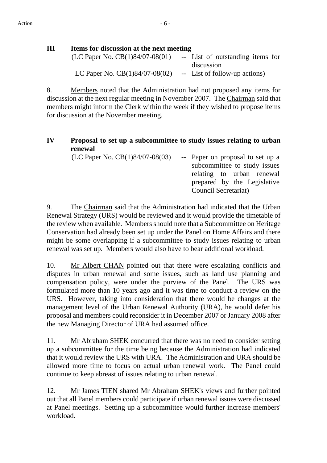| Ш | Items for discussion at the next meeting |                                  |
|---|------------------------------------------|----------------------------------|
|   | (LC Paper No. $CB(1)84/07-08(01)$ )      | -- List of outstanding items for |
|   |                                          | discussion                       |
|   | LC Paper No. $CB(1)84/07-08(02)$         | -- List of follow-up actions)    |

8. Members noted that the Administration had not proposed any items for discussion at the next regular meeting in November 2007. The Chairman said that members might inform the Clerk within the week if they wished to propose items for discussion at the November meeting.

### **IV Proposal to set up a subcommittee to study issues relating to urban renewal**

| (LC Paper No. $CB(1)84/07-08(03)$ ) | -- Paper on proposal to set up a |
|-------------------------------------|----------------------------------|
|                                     | subcommittee to study issues     |
|                                     | relating to urban renewal        |
|                                     | prepared by the Legislative      |
|                                     | Council Secretariat)             |
|                                     |                                  |

9. The Chairman said that the Administration had indicated that the Urban Renewal Strategy (URS) would be reviewed and it would provide the timetable of the review when available. Members should note that a Subcommittee on Heritage Conservation had already been set up under the Panel on Home Affairs and there might be some overlapping if a subcommittee to study issues relating to urban renewal was set up. Members would also have to bear additional workload.

10. Mr Albert CHAN pointed out that there were escalating conflicts and disputes in urban renewal and some issues, such as land use planning and compensation policy, were under the purview of the Panel. The URS was formulated more than 10 years ago and it was time to conduct a review on the URS. However, taking into consideration that there would be changes at the management level of the Urban Renewal Authority (URA), he would defer his proposal and members could reconsider it in December 2007 or January 2008 after the new Managing Director of URA had assumed office.

11. Mr Abraham SHEK concurred that there was no need to consider setting up a subcommittee for the time being because the Administration had indicated that it would review the URS with URA. The Administration and URA should be allowed more time to focus on actual urban renewal work. The Panel could continue to keep abreast of issues relating to urban renewal.

12. Mr James TIEN shared Mr Abraham SHEK's views and further pointed out that all Panel members could participate if urban renewal issues were discussed at Panel meetings. Setting up a subcommittee would further increase members' workload.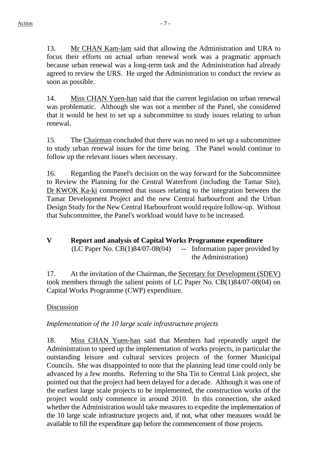13. Mr CHAN Kam-lam said that allowing the Administration and URA to focus their efforts on actual urban renewal work was a pragmatic approach because urban renewal was a long-term task and the Administration had already agreed to review the URS. He urged the Administration to conduct the review as soon as possible.

14. Miss CHAN Yuen-han said that the current legislation on urban renewal was problematic. Although she was not a member of the Panel, she considered that it would be best to set up a subcommittee to study issues relating to urban renewal.

15. The Chairman concluded that there was no need to set up a subcommittee to study urban renewal issues for the time being. The Panel would continue to follow up the relevant issues when necessary.

16. Regarding the Panel's decision on the way forward for the Subcommittee to Review the Planning for the Central Waterfront (including the Tamar Site), Dr KWOK Ka-ki commented that issues relating to the integration between the Tamar Development Project and the new Central harbourfront and the Urban Design Study for the New Central Harbourfront would require follow-up. Without that Subcommittee, the Panel's workload would have to be increased.

#### **V Report and analysis of Capital Works Programme expenditure**  $(LC$  Paper No.  $CB(1)84/07-08(04)$  -- Information paper provided by the Administration)

17. At the invitation of the Chairman, the Secretary for Development (SDEV) took members through the salient points of LC Paper No. CB(1)84/07-08(04) on Capital Works Programme (CWP) expenditure.

# Discussion

# *Implementation of the 10 large scale infrastructure projects*

18. Miss CHAN Yuen-han said that Members had repeatedly urged the Administration to speed up the implementation of works projects, in particular the outstanding leisure and cultural services projects of the former Municipal Councils. She was disappointed to note that the planning lead time could only be advanced by a few months. Referring to the Sha Tin to Central Link project, she pointed out that the project had been delayed for a decade. Although it was one of the earliest large scale projects to be implemented, the construction works of the project would only commence in around 2010. In this connection, she asked whether the Administration would take measures to expedite the implementation of the 10 large scale infrastructure projects and, if not, what other measures would be available to fill the expenditure gap before the commencement of those projects.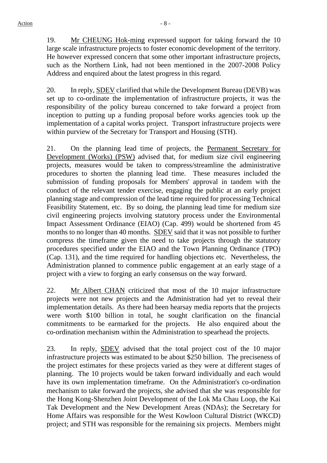19. Mr CHEUNG Hok-ming expressed support for taking forward the 10 large scale infrastructure projects to foster economic development of the territory. He however expressed concern that some other important infrastructure projects, such as the Northern Link, had not been mentioned in the 2007-2008 Policy Address and enquired about the latest progress in this regard.

20. In reply, SDEV clarified that while the Development Bureau (DEVB) was set up to co-ordinate the implementation of infrastructure projects, it was the responsibility of the policy bureau concerned to take forward a project from inception to putting up a funding proposal before works agencies took up the implementation of a capital works project. Transport infrastructure projects were within purview of the Secretary for Transport and Housing (STH).

21. On the planning lead time of projects, the Permanent Secretary for Development (Works) (PSW) advised that, for medium size civil engineering projects, measures would be taken to compress/streamline the administrative procedures to shorten the planning lead time. These measures included the submission of funding proposals for Members' approval in tandem with the conduct of the relevant tender exercise, engaging the public at an early project planning stage and compression of the lead time required for processing Technical Feasibility Statement, etc. By so doing, the planning lead time for medium size civil engineering projects involving statutory process under the Environmental Impact Assessment Ordinance (EIAO) (Cap. 499) would be shortened from 45 months to no longer than 40 months. SDEV said that it was not possible to further compress the timeframe given the need to take projects through the statutory procedures specified under the EIAO and the Town Planning Ordinance (TPO) (Cap. 131), and the time required for handling objections etc. Nevertheless, the Administration planned to commence public engagement at an early stage of a project with a view to forging an early consensus on the way forward.

22. Mr Albert CHAN criticized that most of the 10 major infrastructure projects were not new projects and the Administration had yet to reveal their implementation details. As there had been hearsay media reports that the projects were worth \$100 billion in total, he sought clarification on the financial commitments to be earmarked for the projects. He also enquired about the co-ordination mechanism within the Administration to spearhead the projects.

23. In reply, SDEV advised that the total project cost of the 10 major infrastructure projects was estimated to be about \$250 billion. The preciseness of the project estimates for these projects varied as they were at different stages of planning. The 10 projects would be taken forward individually and each would have its own implementation timeframe. On the Administration's co-ordination mechanism to take forward the projects, she advised that she was responsible for the Hong Kong-Shenzhen Joint Development of the Lok Ma Chau Loop, the Kai Tak Development and the New Development Areas (NDAs); the Secretary for Home Affairs was responsible for the West Kowloon Cultural District (WKCD) project; and STH was responsible for the remaining six projects. Members might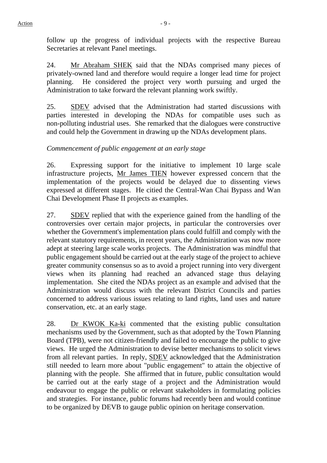follow up the progress of individual projects with the respective Bureau Secretaries at relevant Panel meetings.

24. Mr Abraham SHEK said that the NDAs comprised many pieces of privately-owned land and therefore would require a longer lead time for project planning. He considered the project very worth pursuing and urged the Administration to take forward the relevant planning work swiftly.

25. SDEV advised that the Administration had started discussions with parties interested in developing the NDAs for compatible uses such as non-polluting industrial uses. She remarked that the dialogues were constructive and could help the Government in drawing up the NDAs development plans.

# *Commencement of public engagement at an early stage*

26. Expressing support for the initiative to implement 10 large scale infrastructure projects, Mr James TIEN however expressed concern that the implementation of the projects would be delayed due to dissenting views expressed at different stages. He citied the Central-Wan Chai Bypass and Wan Chai Development Phase II projects as examples.

27. SDEV replied that with the experience gained from the handling of the controversies over certain major projects, in particular the controversies over whether the Government's implementation plans could fulfill and comply with the relevant statutory requirements, in recent years, the Administration was now more adept at steering large scale works projects. The Administration was mindful that public engagement should be carried out at the early stage of the project to achieve greater community consensus so as to avoid a project running into very divergent views when its planning had reached an advanced stage thus delaying implementation. She cited the NDAs project as an example and advised that the Administration would discuss with the relevant District Councils and parties concerned to address various issues relating to land rights, land uses and nature conservation, etc. at an early stage.

28. Dr KWOK Ka-ki commented that the existing public consultation mechanisms used by the Government, such as that adopted by the Town Planning Board (TPB), were not citizen-friendly and failed to encourage the public to give views. He urged the Administration to devise better mechanisms to solicit views from all relevant parties. In reply, SDEV acknowledged that the Administration still needed to learn more about "public engagement" to attain the objective of planning with the people. She affirmed that in future, public consultation would be carried out at the early stage of a project and the Administration would endeavour to engage the public or relevant stakeholders in formulating policies and strategies. For instance, public forums had recently been and would continue to be organized by DEVB to gauge public opinion on heritage conservation.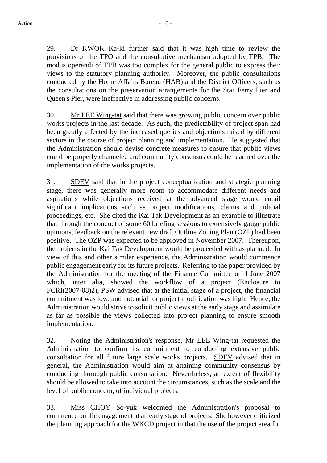29. Dr KWOK Ka-ki further said that it was high time to review the provisions of the TPO and the consultative mechanism adopted by TPB. The modus operandi of TPB was too complex for the general public to express their views to the statutory planning authority. Moreover, the public consultations conducted by the Home Affairs Bureau (HAB) and the District Officers, such as the consultations on the preservation arrangements for the Star Ferry Pier and Queen's Pier, were ineffective in addressing public concerns.

30. Mr LEE Wing-tat said that there was growing public concern over public works projects in the last decade. As such, the predictability of project span had been greatly affected by the increased queries and objections raised by different sectors in the course of project planning and implementation. He suggested that the Administration should devise concrete measures to ensure that public views could be properly channeled and community consensus could be reached over the implementation of the works projects.

31. SDEV said that in the project conceptualization and strategic planning stage, there was generally more room to accommodate different needs and aspirations while objections received at the advanced stage would entail significant implications such as project modifications, claims and judicial proceedings, etc. She cited the Kai Tak Development as an example to illustrate that through the conduct of some 60 briefing sessions to extensively gauge public opinions, feedback on the relevant new draft Outline Zoning Plan (OZP) had been positive. The OZP was expected to be approved in November 2007. Thereupon, the projects in the Kai Tak Development would be proceeded with as planned. In view of this and other similar experience, the Administration would commence public engagement early for its future projects. Referring to the paper provided by the Administration for the meeting of the Finance Committee on 1 June 2007 which, inter alia, showed the workflow of a project (Enclosure to FCRI(2007-08)2), PSW advised that at the initial stage of a project, the financial commitment was low, and potential for project modification was high. Hence, the Administration would strive to solicit public views at the early stage and assimilate as far as possible the views collected into project planning to ensure smooth implementation.

32. Noting the Administration's response, Mr LEE Wing-tat requested the Administration to confirm its commitment to conducting extensive public consultation for all future large scale works projects. SDEV advised that in general, the Administration would aim at attaining community consensus by conducting thorough public consultation. Nevertheless, an extent of flexibility should be allowed to take into account the circumstances, such as the scale and the level of public concern, of individual projects.

33. Miss CHOY So-yuk welcomed the Administration's proposal to commence public engagement at an early stage of projects. She however criticized the planning approach for the WKCD project in that the use of the project area for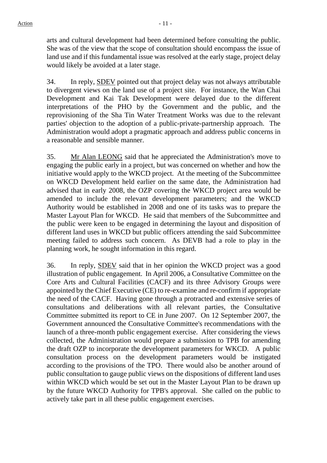arts and cultural development had been determined before consulting the public. She was of the view that the scope of consultation should encompass the issue of land use and if this fundamental issue was resolved at the early stage, project delay would likely be avoided at a later stage.

34. In reply, SDEV pointed out that project delay was not always attributable to divergent views on the land use of a project site. For instance, the Wan Chai Development and Kai Tak Development were delayed due to the different interpretations of the PHO by the Government and the public, and the reprovisioning of the Sha Tin Water Treatment Works was due to the relevant parties' objection to the adoption of a public-private-partnership approach. The Administration would adopt a pragmatic approach and address public concerns in a reasonable and sensible manner.

35. Mr Alan LEONG said that he appreciated the Administration's move to engaging the public early in a project, but was concerned on whether and how the initiative would apply to the WKCD project. At the meeting of the Subcommittee on WKCD Development held earlier on the same date, the Administration had advised that in early 2008, the OZP covering the WKCD project area would be amended to include the relevant development parameters; and the WKCD Authority would be established in 2008 and one of its tasks was to prepare the Master Layout Plan for WKCD. He said that members of the Subcommittee and the public were keen to be engaged in determining the layout and disposition of different land uses in WKCD but public officers attending the said Subcommittee meeting failed to address such concern. As DEVB had a role to play in the planning work, he sought information in this regard.

36. In reply, SDEV said that in her opinion the WKCD project was a good illustration of public engagement. In April 2006, a Consultative Committee on the Core Arts and Cultural Facilities (CACF) and its three Advisory Groups were appointed by the Chief Executive (CE) to re-examine and re-confirm if appropriate the need of the CACF. Having gone through a protracted and extensive series of consultations and deliberations with all relevant parties, the Consultative Committee submitted its report to CE in June 2007. On 12 September 2007, the Government announced the Consultative Committee's recommendations with the launch of a three-month public engagement exercise. After considering the views collected, the Administration would prepare a submission to TPB for amending the draft OZP to incorporate the development parameters for WKCD. A public consultation process on the development parameters would be instigated according to the provisions of the TPO. There would also be another around of public consultation to gauge public views on the dispositions of different land uses within WKCD which would be set out in the Master Layout Plan to be drawn up by the future WKCD Authority for TPB's approval. She called on the public to actively take part in all these public engagement exercises.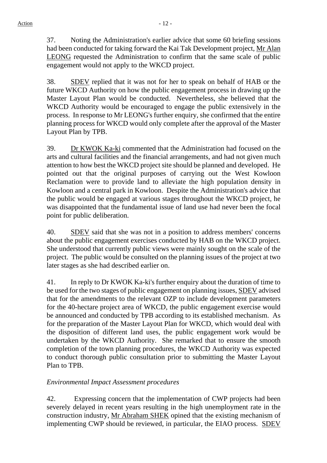37. Noting the Administration's earlier advice that some 60 briefing sessions had been conducted for taking forward the Kai Tak Development project, Mr Alan LEONG requested the Administration to confirm that the same scale of public engagement would not apply to the WKCD project.

38. SDEV replied that it was not for her to speak on behalf of HAB or the future WKCD Authority on how the public engagement process in drawing up the Master Layout Plan would be conducted. Nevertheless, she believed that the WKCD Authority would be encouraged to engage the public extensively in the process. In response to Mr LEONG's further enquiry, she confirmed that the entire planning process for WKCD would only complete after the approval of the Master Layout Plan by TPB.

39. Dr KWOK Ka-ki commented that the Administration had focused on the arts and cultural facilities and the financial arrangements, and had not given much attention to how best the WKCD project site should be planned and developed. He pointed out that the original purposes of carrying out the West Kowloon Reclamation were to provide land to alleviate the high population density in Kowloon and a central park in Kowloon. Despite the Administration's advice that the public would be engaged at various stages throughout the WKCD project, he was disappointed that the fundamental issue of land use had never been the focal point for public deliberation.

40. SDEV said that she was not in a position to address members' concerns about the public engagement exercises conducted by HAB on the WKCD project. She understood that currently public views were mainly sought on the scale of the project. The public would be consulted on the planning issues of the project at two later stages as she had described earlier on.

41. In reply to Dr KWOK Ka-ki's further enquiry about the duration of time to be used for the two stages of public engagement on planning issues, SDEV advised that for the amendments to the relevant OZP to include development parameters for the 40-hectare project area of WKCD, the public engagement exercise would be announced and conducted by TPB according to its established mechanism. As for the preparation of the Master Layout Plan for WKCD, which would deal with the disposition of different land uses, the public engagement work would be undertaken by the WKCD Authority. She remarked that to ensure the smooth completion of the town planning procedures, the WKCD Authority was expected to conduct thorough public consultation prior to submitting the Master Layout Plan to TPB.

# *Environmental Impact Assessment procedures*

42. Expressing concern that the implementation of CWP projects had been severely delayed in recent years resulting in the high unemployment rate in the construction industry, Mr Abraham SHEK opined that the existing mechanism of implementing CWP should be reviewed, in particular, the EIAO process. SDEV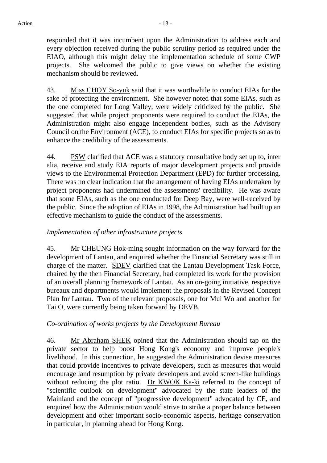responded that it was incumbent upon the Administration to address each and every objection received during the public scrutiny period as required under the EIAO, although this might delay the implementation schedule of some CWP projects. She welcomed the public to give views on whether the existing mechanism should be reviewed.

43. Miss CHOY So-yuk said that it was worthwhile to conduct EIAs for the sake of protecting the environment. She however noted that some EIAs, such as the one completed for Long Valley, were widely criticized by the public. She suggested that while project proponents were required to conduct the EIAs, the Administration might also engage independent bodies, such as the Advisory Council on the Environment (ACE), to conduct EIAs for specific projects so as to enhance the credibility of the assessments.

44. PSW clarified that ACE was a statutory consultative body set up to, inter alia, receive and study EIA reports of major development projects and provide views to the Environmental Protection Department (EPD) for further processing. There was no clear indication that the arrangement of having EIAs undertaken by project proponents had undermined the assessments' credibility. He was aware that some EIAs, such as the one conducted for Deep Bay, were well-received by the public. Since the adoption of EIAs in 1998, the Administration had built up an effective mechanism to guide the conduct of the assessments.

# *Implementation of other infrastructure projects*

45. Mr CHEUNG Hok-ming sought information on the way forward for the development of Lantau, and enquired whether the Financial Secretary was still in charge of the matter. SDEV clarified that the Lantau Development Task Force, chaired by the then Financial Secretary, had completed its work for the provision of an overall planning framework of Lantau. As an on-going initiative, respective bureaux and departments would implement the proposals in the Revised Concept Plan for Lantau. Two of the relevant proposals, one for Mui Wo and another for Tai O, were currently being taken forward by DEVB.

### *Co-ordination of works projects by the Development Bureau*

46. Mr Abraham SHEK opined that the Administration should tap on the private sector to help boost Hong Kong's economy and improve people's livelihood. In this connection, he suggested the Administration devise measures that could provide incentives to private developers, such as measures that would encourage land resumption by private developers and avoid screen-like buildings without reducing the plot ratio. Dr KWOK Ka-ki referred to the concept of "scientific outlook on development" advocated by the state leaders of the Mainland and the concept of "progressive development" advocated by CE, and enquired how the Administration would strive to strike a proper balance between development and other important socio-economic aspects, heritage conservation in particular, in planning ahead for Hong Kong.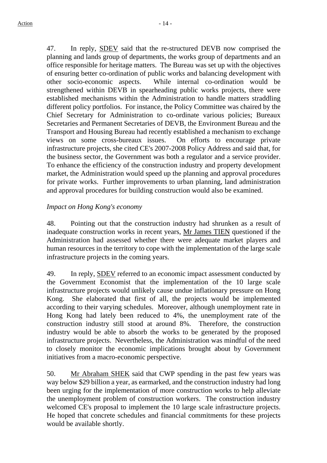47. In reply, SDEV said that the re-structured DEVB now comprised the planning and lands group of departments, the works group of departments and an office responsible for heritage matters. The Bureau was set up with the objectives of ensuring better co-ordination of public works and balancing development with other socio-economic aspects. While internal co-ordination would be strengthened within DEVB in spearheading public works projects, there were established mechanisms within the Administration to handle matters straddling different policy portfolios. For instance, the Policy Committee was chaired by the Chief Secretary for Administration to co-ordinate various policies; Bureaux Secretaries and Permanent Secretaries of DEVB, the Environment Bureau and the Transport and Housing Bureau had recently established a mechanism to exchange views on some cross-bureaux issues. On efforts to encourage private infrastructure projects, she cited CE's 2007-2008 Policy Address and said that, for the business sector, the Government was both a regulator and a service provider. To enhance the efficiency of the construction industry and property development market, the Administration would speed up the planning and approval procedures for private works. Further improvements to urban planning, land administration and approval procedures for building construction would also be examined.

# *Impact on Hong Kong's economy*

48. Pointing out that the construction industry had shrunken as a result of inadequate construction works in recent years, Mr James TIEN questioned if the Administration had assessed whether there were adequate market players and human resources in the territory to cope with the implementation of the large scale infrastructure projects in the coming years.

49. In reply, SDEV referred to an economic impact assessment conducted by the Government Economist that the implementation of the 10 large scale infrastructure projects would unlikely cause undue inflationary pressure on Hong Kong. She elaborated that first of all, the projects would be implemented according to their varying schedules. Moreover, although unemployment rate in Hong Kong had lately been reduced to 4%, the unemployment rate of the construction industry still stood at around 8%. Therefore, the construction industry would be able to absorb the works to be generated by the proposed infrastructure projects. Nevertheless, the Administration was mindful of the need to closely monitor the economic implications brought about by Government initiatives from a macro-economic perspective.

50. Mr Abraham SHEK said that CWP spending in the past few years was way below \$29 billion a year, as earmarked, and the construction industry had long been urging for the implementation of more construction works to help alleviate the unemployment problem of construction workers. The construction industry welcomed CE's proposal to implement the 10 large scale infrastructure projects. He hoped that concrete schedules and financial commitments for these projects would be available shortly.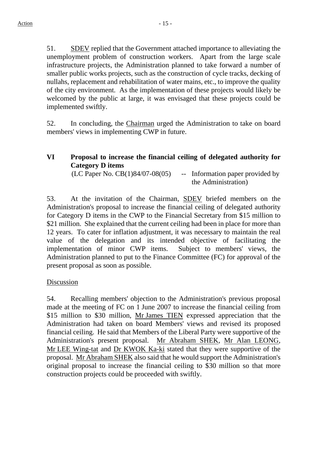51. SDEV replied that the Government attached importance to alleviating the unemployment problem of construction workers. Apart from the large scale infrastructure projects, the Administration planned to take forward a number of smaller public works projects, such as the construction of cycle tracks, decking of nullahs, replacement and rehabilitation of water mains, etc., to improve the quality of the city environment. As the implementation of these projects would likely be welcomed by the public at large, it was envisaged that these projects could be implemented swiftly.

52. In concluding, the Chairman urged the Administration to take on board members' views in implementing CWP in future.

# **VI Proposal to increase the financial ceiling of delegated authority for Category D items**

 $(LC$  Paper No.  $CB(1)84/07-08(05)$  -- Information paper provided by the Administration)

53. At the invitation of the Chairman, SDEV briefed members on the Administration's proposal to increase the financial ceiling of delegated authority for Category D items in the CWP to the Financial Secretary from \$15 million to \$21 million. She explained that the current ceiling had been in place for more than 12 years. To cater for inflation adjustment, it was necessary to maintain the real value of the delegation and its intended objective of facilitating the implementation of minor CWP items. Subject to members' views, the Administration planned to put to the Finance Committee (FC) for approval of the present proposal as soon as possible.

### Discussion

54. Recalling members' objection to the Administration's previous proposal made at the meeting of FC on 1 June 2007 to increase the financial ceiling from \$15 million to \$30 million, Mr James TIEN expressed appreciation that the Administration had taken on board Members' views and revised its proposed financial ceiling. He said that Members of the Liberal Party were supportive of the Administration's present proposal. Mr Abraham SHEK, Mr Alan LEONG, Mr LEE Wing-tat and Dr KWOK Ka-ki stated that they were supportive of the proposal. Mr Abraham SHEK also said that he would support the Administration's original proposal to increase the financial ceiling to \$30 million so that more construction projects could be proceeded with swiftly.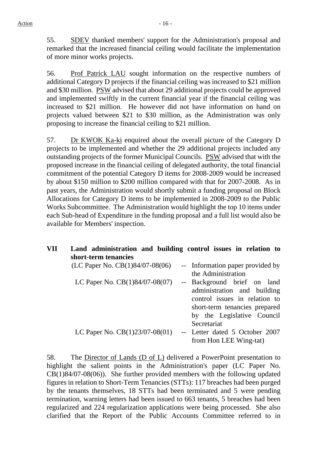55. SDEV thanked members' support for the Administration's proposal and remarked that the increased financial ceiling would facilitate the implementation of more minor works projects.

56. Prof Patrick LAU sought information on the respective numbers of additional Category D projects if the financial ceiling was increased to \$21 million and \$30 million. PSW advised that about 29 additional projects could be approved and implemented swiftly in the current financial year if the financial ceiling was increased to \$21 million. He however did not have information on hand on projects valued between \$21 to \$30 million, as the Administration was only proposing to increase the financial ceiling to \$21 million.

57. Dr KWOK Ka-ki enquired about the overall picture of the Category D projects to be implemented and whether the 29 additional projects included any outstanding projects of the former Municipal Councils. PSW advised that with the proposed increase in the financial ceiling of delegated authority, the total financial commitment of the potential Category D items for 2008-2009 would be increased by about \$150 million to \$200 million compared with that for 2007-2008. As in past years, the Administration would shortly submit a funding proposal on Block Allocations for Category D items to be implemented in 2008-2009 to the Public Works Subcommittee. The Administration would highlight the top 10 items under each Sub-head of Expenditure in the funding proposal and a full list would also be available for Members' inspection.

| VII | Land administration and building control issues in relation to<br>short-term tenancies |                                                                                                                                                                           |
|-----|----------------------------------------------------------------------------------------|---------------------------------------------------------------------------------------------------------------------------------------------------------------------------|
|     | (LC Paper No. CB(1)84/07-08(06)                                                        | -- Information paper provided by<br>the Administration                                                                                                                    |
|     | LC Paper No. $CB(1)84/07-08(07)$                                                       | -- Background brief on land<br>administration and building<br>control issues in relation to<br>short-term tenancies prepared<br>by the Legislative Council<br>Secretariat |
|     | LC Paper No. $CB(1)23/07-08(01)$                                                       | -- Letter dated 5 October 2007<br>from Hon LEE Wing-tat)                                                                                                                  |

58. The Director of Lands (D of L) delivered a PowerPoint presentation to highlight the salient points in the Administration's paper (LC Paper No. CB(1)84/07-08(06)). She further provided members with the following updated figures in relation to Short-Term Tenancies (STTs): 117 breaches had been purged by the tenants themselves, 18 STTs had been terminated and 5 were pending termination, warning letters had been issued to 663 tenants, 5 breaches had been regularized and 224 regularization applications were being processed. She also clarified that the Report of the Public Accounts Committee referred to in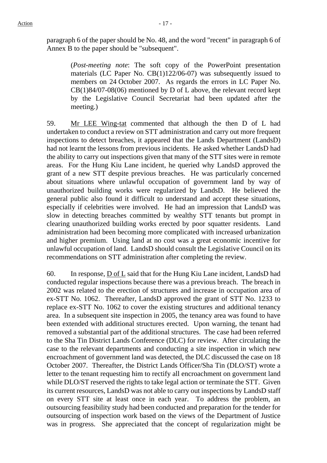paragraph 6 of the paper should be No. 48, and the word "recent" in paragraph 6 of Annex B to the paper should be "subsequent".

> (*Post-meeting note*: The soft copy of the PowerPoint presentation materials (LC Paper No. CB(1)122/06-07) was subsequently issued to members on 24 October 2007. As regards the errors in LC Paper No. CB(1)84/07-08(06) mentioned by D of L above, the relevant record kept by the Legislative Council Secretariat had been updated after the meeting.)

59. Mr LEE Wing-tat commented that although the then D of L had undertaken to conduct a review on STT administration and carry out more frequent inspections to detect breaches, it appeared that the Lands Department (LandsD) had not learnt the lessons from previous incidents. He asked whether LandsD had the ability to carry out inspections given that many of the STT sites were in remote areas. For the Hung Kiu Lane incident, he queried why LandsD approved the grant of a new STT despite previous breaches. He was particularly concerned about situations where unlawful occupation of government land by way of unauthorized building works were regularized by LandsD. He believed the general public also found it difficult to understand and accept these situations, especially if celebrities were involved. He had an impression that LandsD was slow in detecting breaches committed by wealthy STT tenants but prompt in clearing unauthorized building works erected by poor squatter residents. Land administration had been becoming more complicated with increased urbanization and higher premium. Using land at no cost was a great economic incentive for unlawful occupation of land. LandsD should consult the Legislative Council on its recommendations on STT administration after completing the review.

60. In response, D of L said that for the Hung Kiu Lane incident, LandsD had conducted regular inspections because there was a previous breach. The breach in 2002 was related to the erection of structures and increase in occupation area of ex-STT No. 1062. Thereafter, LandsD approved the grant of STT No. 1233 to replace ex-STT No. 1062 to cover the existing structures and additional tenancy area. In a subsequent site inspection in 2005, the tenancy area was found to have been extended with additional structures erected. Upon warning, the tenant had removed a substantial part of the additional structures. The case had been referred to the Sha Tin District Lands Conference (DLC) for review. After circulating the case to the relevant departments and conducting a site inspection in which new encroachment of government land was detected, the DLC discussed the case on 18 October 2007. Thereafter, the District Lands Officer/Sha Tin (DLO/ST) wrote a letter to the tenant requesting him to rectify all encroachment on government land while DLO/ST reserved the rights to take legal action or terminate the STT. Given its current resources, LandsD was not able to carry out inspections by LandsD staff on every STT site at least once in each year. To address the problem, an outsourcing feasibility study had been conducted and preparation for the tender for outsourcing of inspection work based on the views of the Department of Justice was in progress. She appreciated that the concept of regularization might be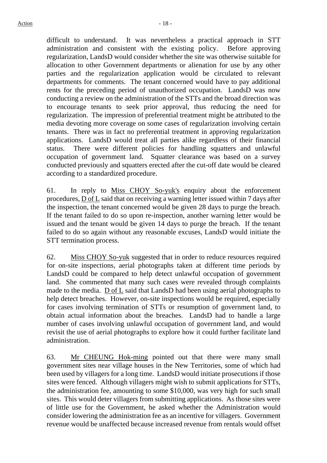difficult to understand. It was nevertheless a practical approach in STT administration and consistent with the existing policy. Before approving regularization, LandsD would consider whether the site was otherwise suitable for allocation to other Government departments or alienation for use by any other parties and the regularization application would be circulated to relevant departments for comments. The tenant concerned would have to pay additional rents for the preceding period of unauthorized occupation. LandsD was now conducting a review on the administration of the STTs and the broad direction was to encourage tenants to seek prior approval, thus reducing the need for regularization. The impression of preferential treatment might be attributed to the media devoting more coverage on some cases of regularization involving certain tenants. There was in fact no preferential treatment in approving regularization applications. LandsD would treat all parties alike regardless of their financial status. There were different policies for handling squatters and unlawful occupation of government land. Squatter clearance was based on a survey conducted previously and squatters erected after the cut-off date would be cleared according to a standardized procedure.

61. In reply to Miss CHOY So-yuk's enquiry about the enforcement procedures, D of L said that on receiving a warning letter issued within 7 days after the inspection, the tenant concerned would be given 28 days to purge the breach. If the tenant failed to do so upon re-inspection, another warning letter would be issued and the tenant would be given 14 days to purge the breach. If the tenant failed to do so again without any reasonable excuses, LandsD would initiate the STT termination process.

62. Miss CHOY So-yuk suggested that in order to reduce resources required for on-site inspections, aerial photographs taken at different time periods by LandsD could be compared to help detect unlawful occupation of government land. She commented that many such cases were revealed through complaints made to the media. D of L said that LandsD had been using aerial photographs to help detect breaches. However, on-site inspections would be required, especially for cases involving termination of STTs or resumption of government land, to obtain actual information about the breaches. LandsD had to handle a large number of cases involving unlawful occupation of government land, and would revisit the use of aerial photographs to explore how it could further facilitate land administration.

63. Mr CHEUNG Hok-ming pointed out that there were many small government sites near village houses in the New Territories, some of which had been used by villagers for a long time. LandsD would initiate prosecutions if those sites were fenced. Although villagers might wish to submit applications for STTs, the administration fee, amounting to some \$10,000, was very high for such small sites. This would deter villagers from submitting applications. As those sites were of little use for the Government, he asked whether the Administration would consider lowering the administration fee as an incentive for villagers. Government revenue would be unaffected because increased revenue from rentals would offset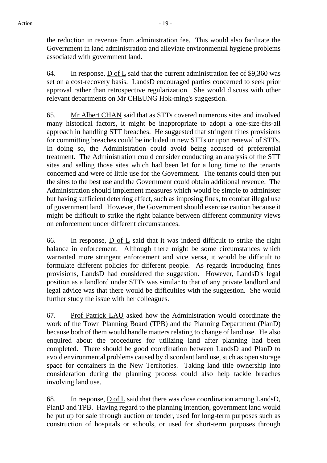the reduction in revenue from administration fee. This would also facilitate the Government in land administration and alleviate environmental hygiene problems associated with government land.

64. In response, D of L said that the current administration fee of \$9,360 was set on a cost-recovery basis. LandsD encouraged parties concerned to seek prior approval rather than retrospective regularization. She would discuss with other relevant departments on Mr CHEUNG Hok-ming's suggestion.

65. Mr Albert CHAN said that as STTs covered numerous sites and involved many historical factors, it might be inappropriate to adopt a one-size-fits-all approach in handling STT breaches. He suggested that stringent fines provisions for committing breaches could be included in new STTs or upon renewal of STTs. In doing so, the Administration could avoid being accused of preferential treatment. The Administration could consider conducting an analysis of the STT sites and selling those sites which had been let for a long time to the tenants concerned and were of little use for the Government. The tenants could then put the sites to the best use and the Government could obtain additional revenue. The Administration should implement measures which would be simple to administer but having sufficient deterring effect, such as imposing fines, to combat illegal use of government land. However, the Government should exercise caution because it might be difficult to strike the right balance between different community views on enforcement under different circumstances.

66. In response, D of L said that it was indeed difficult to strike the right balance in enforcement. Although there might be some circumstances which warranted more stringent enforcement and vice versa, it would be difficult to formulate different policies for different people. As regards introducing fines provisions, LandsD had considered the suggestion. However, LandsD's legal position as a landlord under STTs was similar to that of any private landlord and legal advice was that there would be difficulties with the suggestion. She would further study the issue with her colleagues.

67. Prof Patrick LAU asked how the Administration would coordinate the work of the Town Planning Board (TPB) and the Planning Department (PlanD) because both of them would handle matters relating to change of land use. He also enquired about the procedures for utilizing land after planning had been completed. There should be good coordination between LandsD and PlanD to avoid environmental problems caused by discordant land use, such as open storage space for containers in the New Territories. Taking land title ownership into consideration during the planning process could also help tackle breaches involving land use.

68. In response, D of L said that there was close coordination among LandsD, PlanD and TPB. Having regard to the planning intention, government land would be put up for sale through auction or tender, used for long-term purposes such as construction of hospitals or schools, or used for short-term purposes through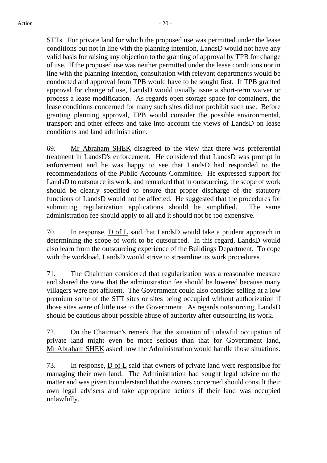STTs. For private land for which the proposed use was permitted under the lease conditions but not in line with the planning intention, LandsD would not have any valid basis for raising any objection to the granting of approval by TPB for change of use. If the proposed use was neither permitted under the lease conditions nor in line with the planning intention, consultation with relevant departments would be conducted and approval from TPB would have to be sought first. If TPB granted approval for change of use, LandsD would usually issue a short-term waiver or process a lease modification. As regards open storage space for containers, the lease conditions concerned for many such sites did not prohibit such use. Before granting planning approval, TPB would consider the possible environmental, transport and other effects and take into account the views of LandsD on lease conditions and land administration.

69. Mr Abraham SHEK disagreed to the view that there was preferential treatment in LandsD's enforcement. He considered that LandsD was prompt in enforcement and he was happy to see that LandsD had responded to the recommendations of the Public Accounts Committee. He expressed support for LandsD to outsource its work, and remarked that in outsourcing, the scope of work should be clearly specified to ensure that proper discharge of the statutory functions of LandsD would not be affected. He suggested that the procedures for submitting regularization applications should be simplified. The same administration fee should apply to all and it should not be too expensive.

70. In response, D of L said that LandsD would take a prudent approach in determining the scope of work to be outsourced. In this regard, LandsD would also learn from the outsourcing experience of the Buildings Department. To cope with the workload, LandsD would strive to streamline its work procedures.

71. The Chairman considered that regularization was a reasonable measure and shared the view that the administration fee should be lowered because many villagers were not affluent. The Government could also consider selling at a low premium some of the STT sites or sites being occupied without authorization if those sites were of little use to the Government. As regards outsourcing, LandsD should be cautious about possible abuse of authority after outsourcing its work.

72. On the Chairman's remark that the situation of unlawful occupation of private land might even be more serious than that for Government land, Mr Abraham SHEK asked how the Administration would handle those situations.

73. In response, D of L said that owners of private land were responsible for managing their own land. The Administration had sought legal advice on the matter and was given to understand that the owners concerned should consult their own legal advisers and take appropriate actions if their land was occupied unlawfully.